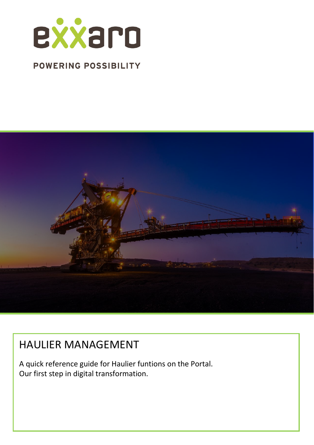

# **POWERING POSSIBILITY**



# HAULIER MANAGEMENT

A quick reference guide for Haulier funtions on the Portal. Our first step in digital transformation.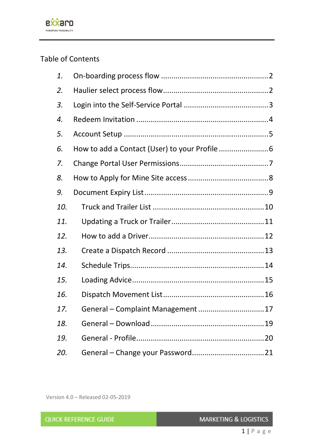

# Table of Contents

| 1.  |                                  |  |
|-----|----------------------------------|--|
| 2.  |                                  |  |
| 3.  |                                  |  |
| 4.  |                                  |  |
| 5.  |                                  |  |
| 6.  |                                  |  |
| 7.  |                                  |  |
| 8.  |                                  |  |
| 9.  |                                  |  |
| 10. |                                  |  |
| 11. |                                  |  |
| 12. |                                  |  |
| 13. |                                  |  |
| 14. |                                  |  |
| 15. |                                  |  |
| 16. |                                  |  |
| 17. | General - Complaint Management17 |  |
| 18. |                                  |  |
| 19. |                                  |  |
| 20. |                                  |  |

Version 4.0 – Released 02-05-2019

| <b>MARKETING &amp; LOGISTICS</b> |
|----------------------------------|
|                                  |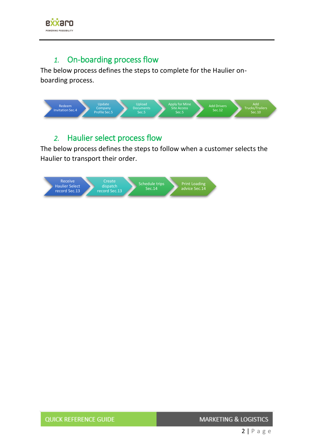

#### *1.* On-boarding process flow

<span id="page-2-0"></span>The below process defines the steps to complete for the Haulier onboarding process.



# *2.* Haulier select process flow

<span id="page-2-1"></span>The below process defines the steps to follow when a customer selects the Haulier to transport their order.

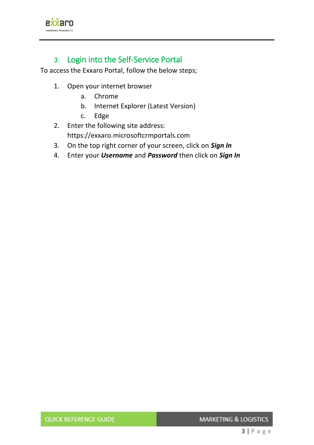

# *3.* Login into the Self-Service Portal

<span id="page-3-0"></span>To access the Exxaro Portal, follow the below steps;

- 1. Open your internet browser
	- a. Chrome
	- b. Internet Explorer (Latest Version)
	- c. Edge
- 2. Enter the following site address: https://exxaro.microsoftcrmportals.com
- 3. On the top right corner of your screen, click on *Sign In*
- 4. Enter your *Username* and *Password* then click on *Sign In*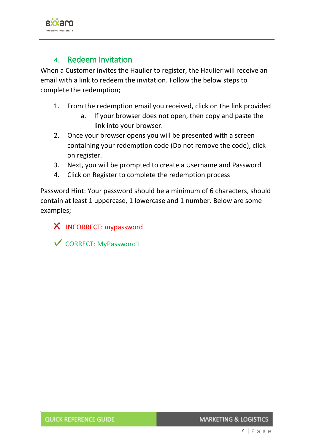

## *4.* Redeem Invitation

<span id="page-4-0"></span>When a Customer invites the Haulier to register, the Haulier will receive an email with a link to redeem the invitation. Follow the below steps to complete the redemption;

- 1. From the redemption email you received, click on the link provided
	- a. If your browser does not open, then copy and paste the link into your browser.
- 2. Once your browser opens you will be presented with a screen containing your redemption code (Do not remove the code), click on register.
- 3. Next, you will be prompted to create a Username and Password
- 4. Click on Register to complete the redemption process

Password Hint: Your password should be a minimum of 6 characters, should contain at least 1 uppercase, 1 lowercase and 1 number. Below are some examples;

**X** INCORRECT: mypassword

 $\checkmark$  CORRECT: MyPassword1

**MARKETING & LOGISTICS**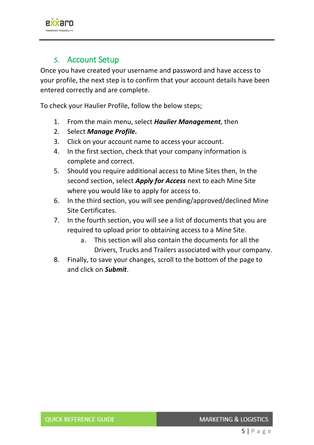

#### *5.* Account Setup

<span id="page-5-0"></span>Once you have created your username and password and have access to your profile, the next step is to confirm that your account details have been entered correctly and are complete.

To check your Haulier Profile, follow the below steps;

- 1. From the main menu, select *Haulier Management*, then
- 2. Select *Manage Profile.*
- 3. Click on your account name to access your account.
- 4. In the first section, check that your company information is complete and correct.
- 5. Should you require additional access to Mine Sites then, In the second section, select *Apply for Access* next to each Mine Site where you would like to apply for access to.
- 6. In the third section, you will see pending/approved/declined Mine Site Certificates.
- 7. In the fourth section, you will see a list of documents that you are required to upload prior to obtaining access to a Mine Site.
	- a. This section will also contain the documents for all the Drivers, Trucks and Trailers associated with your company.
- 8. Finally, to save your changes, scroll to the bottom of the page to and click on *Submit*.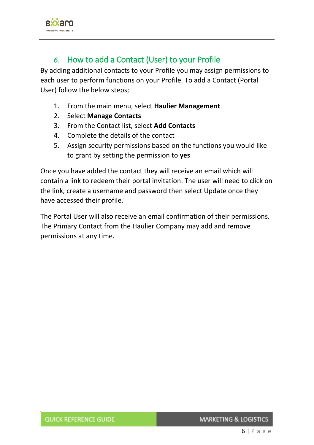

# *6.* How to add a Contact (User) to your Profile

<span id="page-6-0"></span>By adding additional contacts to your Profile you may assign permissions to each user to perform functions on your Profile. To add a Contact (Portal User) follow the below steps;

- 1. From the main menu, select **Haulier Management**
- 2. Select **Manage Contacts**
- 3. From the Contact list, select **Add Contacts**
- 4. Complete the details of the contact
- 5. Assign security permissions based on the functions you would like to grant by setting the permission to **yes**

Once you have added the contact they will receive an email which will contain a link to redeem their portal invitation. The user will need to click on the link, create a username and password then select Update once they have accessed their profile.

The Portal User will also receive an email confirmation of their permissions. The Primary Contact from the Haulier Company may add and remove permissions at any time.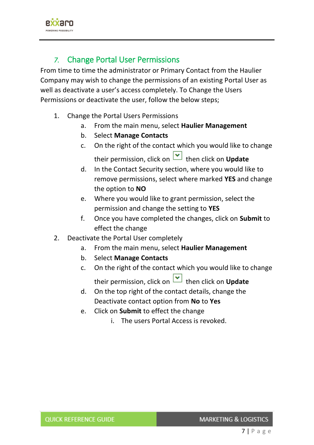

# *7.* Change Portal User Permissions

<span id="page-7-0"></span>From time to time the administrator or Primary Contact from the Haulier Company may wish to change the permissions of an existing Portal User as well as deactivate a user's access completely. To Change the Users Permissions or deactivate the user, follow the below steps;

- 1. Change the Portal Users Permissions
	- a. From the main menu, select **Haulier Management**
	- b. Select **Manage Contacts**
	- c. On the right of the contact which you would like to change their permission, click on **v** then click on **Update**
	- d. In the Contact Security section, where you would like to remove permissions, select where marked **YES** and change the option to **NO**
	- e. Where you would like to grant permission, select the permission and change the setting to **YES**
	- f. Once you have completed the changes, click on **Submit** to effect the change
- 2. Deactivate the Portal User completely
	- a. From the main menu, select **Haulier Management**
	- b. Select **Manage Contacts**
	- c. On the right of the contact which you would like to change their permission, click on **v** then click on **Update**
	- d. On the top right of the contact details, change the Deactivate contact option from **No** to **Yes**
	- e. Click on **Submit** to effect the change
		- i. The users Portal Access is revoked.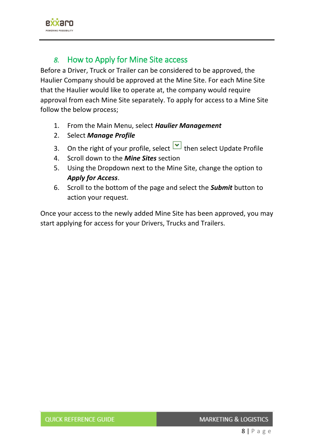

## *8.* How to Apply for Mine Site access

<span id="page-8-0"></span>Before a Driver, Truck or Trailer can be considered to be approved, the Haulier Company should be approved at the Mine Site. For each Mine Site that the Haulier would like to operate at, the company would require approval from each Mine Site separately. To apply for access to a Mine Site follow the below process;

- 1. From the Main Menu, select *Haulier Management*
- 2. Select *Manage Profile*
- 3. On the right of your profile, select  $\bullet$  then select Update Profile
- 4. Scroll down to the *Mine Sites* section
- 5. Using the Dropdown next to the Mine Site, change the option to *Apply for Access*.
- 6. Scroll to the bottom of the page and select the *Submit* button to action your request.

Once your access to the newly added Mine Site has been approved, you may start applying for access for your Drivers, Trucks and Trailers.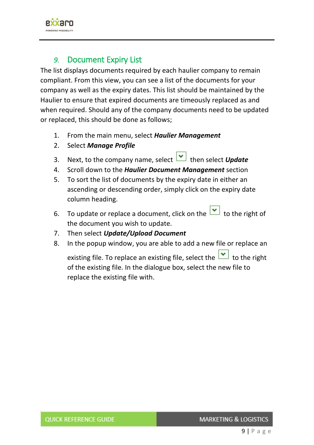

## *9.* Document Expiry List

<span id="page-9-0"></span>The list displays documents required by each haulier company to remain compliant. From this view, you can see a list of the documents for your company as well as the expiry dates. This list should be maintained by the Haulier to ensure that expired documents are timeously replaced as and when required. Should any of the company documents need to be updated or replaced, this should be done as follows;

- 1. From the main menu, select *Haulier Management*
- 2. Select *Manage Profile*
- 3. Next, to the company name, select **1** then select **Update**
- 4. Scroll down to the *Haulier Document Management* section
- 5. To sort the list of documents by the expiry date in either an ascending or descending order, simply click on the expiry date column heading.
- 6. To update or replace a document, click on the  $\Box$  to the right of the document you wish to update.
- 7. Then select *Update/Upload Document*
- 8. In the popup window, you are able to add a new file or replace an

existing file. To replace an existing file, select the  $\vert \bullet \vert$  to the right of the existing file. In the dialogue box, select the new file to replace the existing file with.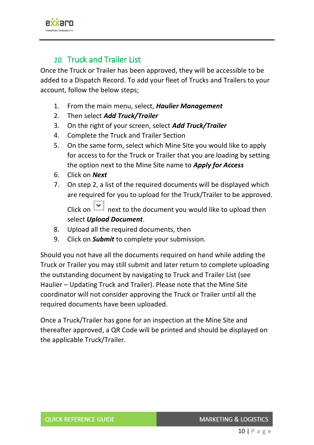

## *10.* Truck and Trailer List

<span id="page-10-0"></span>Once the Truck or Trailer has been approved, they will be accessible to be added to a Dispatch Record. To add your fleet of Trucks and Trailers to your account, follow the below steps;

- 1. From the main menu, select, *Haulier Management*
- 2. Then select *Add Truck/Trailer*
- 3. On the right of your screen, select *Add Truck/Trailer*
- 4. Complete the Truck and Trailer Section
- 5. On the same form, select which Mine Site you would like to apply for access to for the Truck or Trailer that you are loading by setting the option next to the Mine Site name to *Apply for Access*
- 6. Click on *Next*
- 7. On step 2, a list of the required documents will be displayed which are required for you to upload for the Truck/Trailer to be approved. Click on  $\boxed{\smile}$  next to the document you would like to upload then select *Upload Document*.
- 8. Upload all the required documents, then
- 9. Click on *Submit* to complete your submission.

Should you not have all the documents required on hand while adding the Truck or Trailer you may still submit and later return to complete uploading the outstanding document by navigating to Truck and Trailer List (see Haulier – Updating Truck and Trailer). Please note that the Mine Site coordinator will not consider approving the Truck or Trailer until all the required documents have been uploaded.

Once a Truck/Trailer has gone for an inspection at the Mine Site and thereafter approved, a QR Code will be printed and should be displayed on the applicable Truck/Trailer.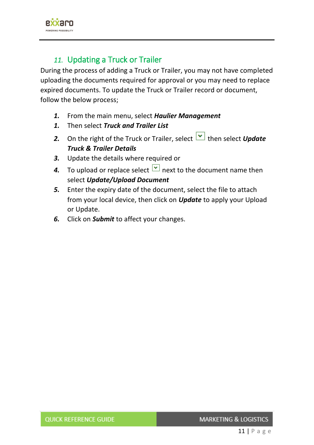

# *11.* Updating a Truck or Trailer

<span id="page-11-0"></span>During the process of adding a Truck or Trailer, you may not have completed uploading the documents required for approval or you may need to replace expired documents. To update the Truck or Trailer record or document, follow the below process;

- *1.* From the main menu, select *Haulier Management*
- *1.* Then select *Truck and Trailer List*
- 2. On the right of the Truck or Trailer, select **buller** then select **Update** *Truck & Trailer Details*
- *3.* Update the details where required or
- **4.** To upload or replace select  $\Box$  next to the document name then select *Update/Upload Document*
- *5.* Enter the expiry date of the document, select the file to attach from your local device, then click on *Update* to apply your Upload or Update.
- *6.* Click on *Submit* to affect your changes.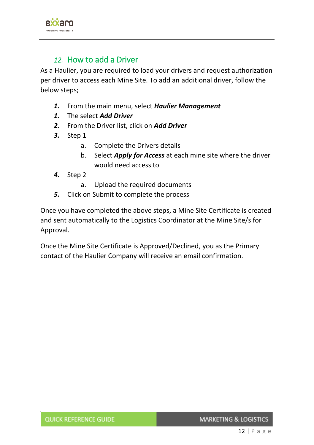

### *12.* How to add a Driver

<span id="page-12-0"></span>As a Haulier, you are required to load your drivers and request authorization per driver to access each Mine Site. To add an additional driver, follow the below steps;

- *1.* From the main menu, select *Haulier Management*
- *1.* The select *Add Driver*
- *2.* From the Driver list, click on *Add Driver*
- *3.* Step 1
	- a. Complete the Drivers details
	- b. Select *Apply for Access* at each mine site where the driver would need access to
- *4.* Step 2

a. Upload the required documents

*5.* Click on Submit to complete the process

Once you have completed the above steps, a Mine Site Certificate is created and sent automatically to the Logistics Coordinator at the Mine Site/s for Approval.

Once the Mine Site Certificate is Approved/Declined, you as the Primary contact of the Haulier Company will receive an email confirmation.

**MARKETING & LOGISTICS**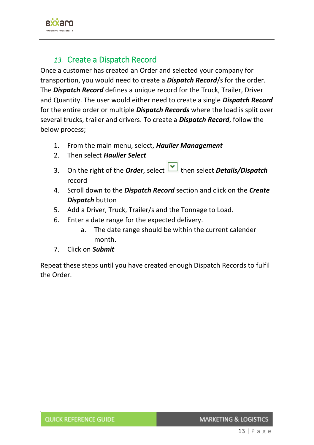

## *13.* Create a Dispatch Record

<span id="page-13-0"></span>Once a customer has created an Order and selected your company for transportion, you would need to create a *Dispatch Record*/s for the order. The *Dispatch Record* defines a unique record for the Truck, Trailer, Driver and Quantity. The user would either need to create a single *Dispatch Record* for the entire order or multiple *Dispatch Records* where the load is split over several trucks, trailer and drivers. To create a *Dispatch Record*, follow the below process;

- 1. From the main menu, select, *Haulier Management*
- 2. Then select *Haulier Select*
- 3. On the right of the *Order*, select **b** then select **Details/Dispatch** record
- 4. Scroll down to the *Dispatch Record* section and click on the *Create Dispatch* button
- 5. Add a Driver, Truck, Trailer/s and the Tonnage to Load.
- 6. Enter a date range for the expected delivery.
	- a. The date range should be within the current calender month.
- 7. Click on *Submit*

Repeat these steps until you have created enough Dispatch Records to fulfil the Order.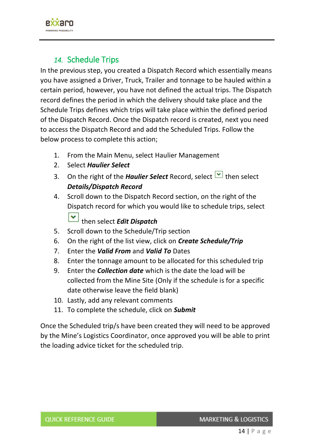

## *14.* Schedule Trips

<span id="page-14-0"></span>In the previous step, you created a Dispatch Record which essentially means you have assigned a Driver, Truck, Trailer and tonnage to be hauled within a certain period, however, you have not defined the actual trips. The Dispatch record defines the period in which the delivery should take place and the Schedule Trips defines which trips will take place within the defined period of the Dispatch Record. Once the Dispatch record is created, next you need to access the Dispatch Record and add the Scheduled Trips. Follow the below process to complete this action;

- 1. From the Main Menu, select Haulier Management
- 2. Select *Haulier Select*
- 3. On the right of the *Haulier Select* Record, select **buthen** select *Details/Dispatch Record*
- 4. Scroll down to the Dispatch Record section, on the right of the Dispatch record for which you would like to schedule trips, select

∣≁ then select *Edit Dispatch*

- 5. Scroll down to the Schedule/Trip section
- 6. On the right of the list view, click on *Create Schedule/Trip*
- 7. Enter the *Valid From* and *Valid To* Dates
- 8. Enter the tonnage amount to be allocated for this scheduled trip
- 9. Enter the *Collection date* which is the date the load will be collected from the Mine Site (Only if the schedule is for a specific date otherwise leave the field blank)
- 10. Lastly, add any relevant comments
- 11. To complete the schedule, click on *Submit*

Once the Scheduled trip/s have been created they will need to be approved by the Mine's Logistics Coordinator, once approved you will be able to print the loading advice ticket for the scheduled trip.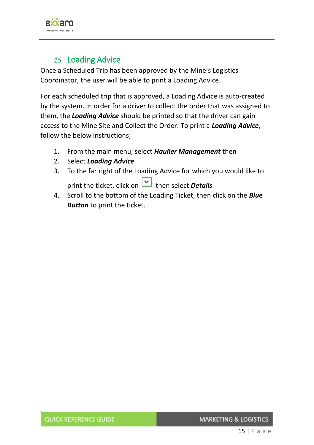

# *15.* Loading Advice

<span id="page-15-0"></span>Once a Scheduled Trip has been approved by the Mine's Logistics Coordinator, the user will be able to print a Loading Advice.

For each scheduled trip that is approved, a Loading Advice is auto-created by the system. In order for a driver to collect the order that was assigned to them, the *Loading Advice* should be printed so that the driver can gain access to the Mine Site and Collect the Order. To print a *Loading Advice*, follow the below instructions;

- 1. From the main menu, select *Haulier Management* then
- 2. Select *Loading Advice*
- 3. To the far right of the Loading Advice for which you would like to print the ticket, click on **v** then select **Details**
- 4. Scroll to the bottom of the Loading Ticket, then click on the *Blue Button* to print the ticket.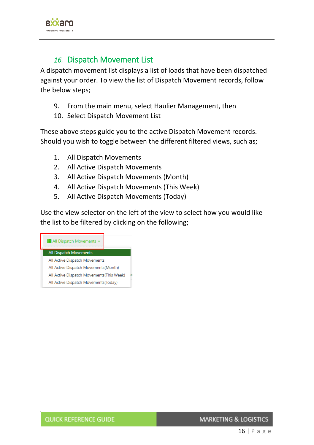

#### *16.* Dispatch Movement List

<span id="page-16-0"></span>A dispatch movement list displays a list of loads that have been dispatched against your order. To view the list of Dispatch Movement records, follow the below steps;

- 9. From the main menu, select Haulier Management, then
- 10. Select Dispatch Movement List

These above steps guide you to the active Dispatch Movement records. Should you wish to toggle between the different filtered views, such as;

- 1. All Dispatch Movements
- 2. All Active Dispatch Movements
- 3. All Active Dispatch Movements (Month)
- 4. All Active Dispatch Movements (This Week)
- 5. All Active Dispatch Movements (Today)

Use the view selector on the left of the view to select how you would like the list to be filtered by clicking on the following;



**MARKETING & LOGISTICS**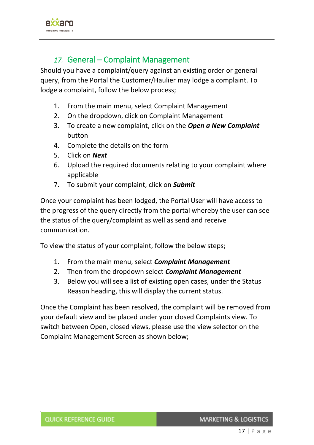

#### *17.* General – Complaint Management

<span id="page-17-0"></span>Should you have a complaint/query against an existing order or general query, from the Portal the Customer/Haulier may lodge a complaint. To lodge a complaint, follow the below process;

- 1. From the main menu, select Complaint Management
- 2. On the dropdown, click on Complaint Management
- 3. To create a new complaint, click on the *Open a New Complaint* button
- 4. Complete the details on the form
- 5. Click on *Next*
- 6. Upload the required documents relating to your complaint where applicable
- 7. To submit your complaint, click on *Submit*

Once your complaint has been lodged, the Portal User will have access to the progress of the query directly from the portal whereby the user can see the status of the query/complaint as well as send and receive communication.

To view the status of your complaint, follow the below steps;

- 1. From the main menu, select *Complaint Management*
- 2. Then from the dropdown select *Complaint Management*
- 3. Below you will see a list of existing open cases, under the Status Reason heading, this will display the current status.

Once the Complaint has been resolved, the complaint will be removed from your default view and be placed under your closed Complaints view. To switch between Open, closed views, please use the view selector on the Complaint Management Screen as shown below;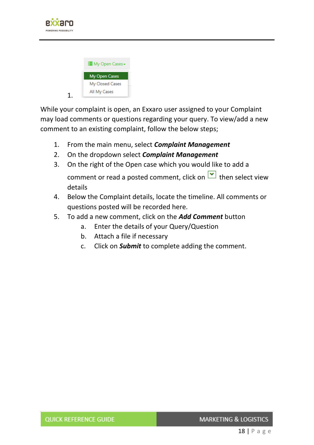

| <b>E</b> My Open Cases <del>-</del> |  |
|-------------------------------------|--|
| <b>My Open Cases</b>                |  |
| My Closed Cases                     |  |
| All My Cases                        |  |
|                                     |  |

While your complaint is open, an Exxaro user assigned to your Complaint may load comments or questions regarding your query. To view/add a new comment to an existing complaint, follow the below steps;

- 1. From the main menu, select *Complaint Management*
- 2. On the dropdown select *Complaint Management*
- 3. On the right of the Open case which you would like to add a comment or read a posted comment, click on  $\Box$  then select view details
- 4. Below the Complaint details, locate the timeline. All comments or questions posted will be recorded here.
- 5. To add a new comment, click on the *Add Comment* button
	- a. Enter the details of your Query/Question
	- b. Attach a file if necessary
	- c. Click on *Submit* to complete adding the comment.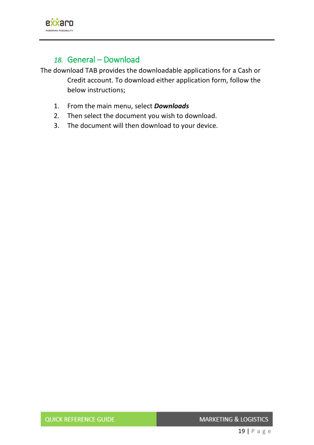

# *18.* General – Download

<span id="page-19-0"></span>The download TAB provides the downloadable applications for a Cash or Credit account. To download either application form, follow the below instructions;

- 1. From the main menu, select *Downloads*
- 2. Then select the document you wish to download.
- 3. The document will then download to your device.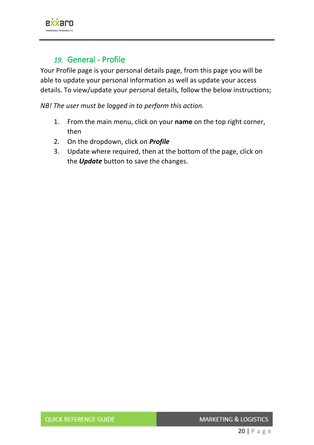

### *19.* General - Profile

<span id="page-20-0"></span>Your Profile page is your personal details page, from this page you will be able to update your personal information as well as update your access details. To view/update your personal details, follow the below instructions;

*NB! The user must be logged in to perform this action.*

- 1. From the main menu, click on your **name** on the top right corner, then
- 2. On the dropdown, click on *Profile*
- 3. Update where required, then at the bottom of the page, click on the *Update* button to save the changes.